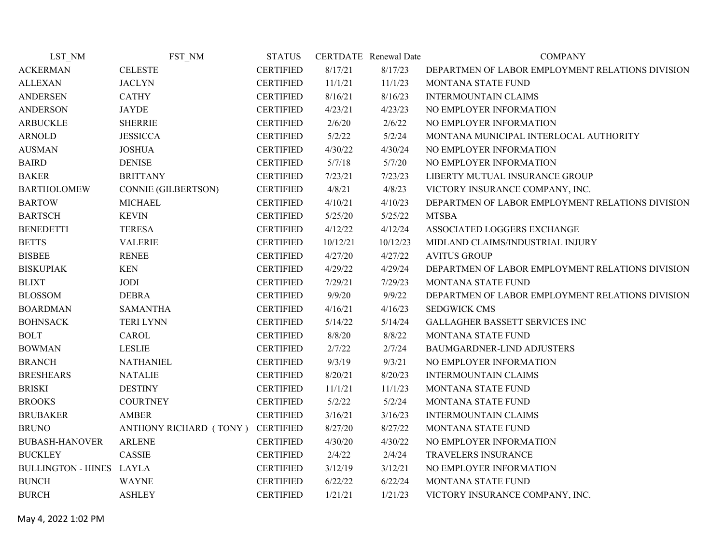| LST NM                   | FST NM                           | <b>STATUS</b>    |          | CERTDATE Renewal Date | <b>COMPANY</b>                                   |
|--------------------------|----------------------------------|------------------|----------|-----------------------|--------------------------------------------------|
| <b>ACKERMAN</b>          | <b>CELESTE</b>                   | <b>CERTIFIED</b> | 8/17/21  | 8/17/23               | DEPARTMEN OF LABOR EMPLOYMENT RELATIONS DIVISION |
| <b>ALLEXAN</b>           | <b>JACLYN</b>                    | <b>CERTIFIED</b> | 11/1/21  | 11/1/23               | <b>MONTANA STATE FUND</b>                        |
| <b>ANDERSEN</b>          | <b>CATHY</b>                     | <b>CERTIFIED</b> | 8/16/21  | 8/16/23               | <b>INTERMOUNTAIN CLAIMS</b>                      |
| <b>ANDERSON</b>          | <b>JAYDE</b>                     | <b>CERTIFIED</b> | 4/23/21  | 4/23/23               | NO EMPLOYER INFORMATION                          |
| <b>ARBUCKLE</b>          | <b>SHERRIE</b>                   | <b>CERTIFIED</b> | 2/6/20   | 2/6/22                | NO EMPLOYER INFORMATION                          |
| <b>ARNOLD</b>            | <b>JESSICCA</b>                  | <b>CERTIFIED</b> | 5/2/22   | 5/2/24                | MONTANA MUNICIPAL INTERLOCAL AUTHORITY           |
| <b>AUSMAN</b>            | <b>JOSHUA</b>                    | <b>CERTIFIED</b> | 4/30/22  | 4/30/24               | NO EMPLOYER INFORMATION                          |
| <b>BAIRD</b>             | <b>DENISE</b>                    | <b>CERTIFIED</b> | 5/7/18   | 5/7/20                | NO EMPLOYER INFORMATION                          |
| <b>BAKER</b>             | <b>BRITTANY</b>                  | <b>CERTIFIED</b> | 7/23/21  | 7/23/23               | LIBERTY MUTUAL INSURANCE GROUP                   |
| <b>BARTHOLOMEW</b>       | CONNIE (GILBERTSON)              | <b>CERTIFIED</b> | 4/8/21   | 4/8/23                | VICTORY INSURANCE COMPANY, INC.                  |
| <b>BARTOW</b>            | <b>MICHAEL</b>                   | <b>CERTIFIED</b> | 4/10/21  | 4/10/23               | DEPARTMEN OF LABOR EMPLOYMENT RELATIONS DIVISION |
| <b>BARTSCH</b>           | <b>KEVIN</b>                     | <b>CERTIFIED</b> | 5/25/20  | 5/25/22               | <b>MTSBA</b>                                     |
| <b>BENEDETTI</b>         | <b>TERESA</b>                    | <b>CERTIFIED</b> | 4/12/22  | 4/12/24               | ASSOCIATED LOGGERS EXCHANGE                      |
| <b>BETTS</b>             | <b>VALERIE</b>                   | <b>CERTIFIED</b> | 10/12/21 | 10/12/23              | MIDLAND CLAIMS/INDUSTRIAL INJURY                 |
| <b>BISBEE</b>            | <b>RENEE</b>                     | <b>CERTIFIED</b> | 4/27/20  | 4/27/22               | <b>AVITUS GROUP</b>                              |
| <b>BISKUPIAK</b>         | <b>KEN</b>                       | <b>CERTIFIED</b> | 4/29/22  | 4/29/24               | DEPARTMEN OF LABOR EMPLOYMENT RELATIONS DIVISION |
| <b>BLIXT</b>             | JODI                             | <b>CERTIFIED</b> | 7/29/21  | 7/29/23               | MONTANA STATE FUND                               |
| <b>BLOSSOM</b>           | <b>DEBRA</b>                     | <b>CERTIFIED</b> | 9/9/20   | 9/9/22                | DEPARTMEN OF LABOR EMPLOYMENT RELATIONS DIVISION |
| <b>BOARDMAN</b>          | <b>SAMANTHA</b>                  | <b>CERTIFIED</b> | 4/16/21  | 4/16/23               | <b>SEDGWICK CMS</b>                              |
| <b>BOHNSACK</b>          | <b>TERI LYNN</b>                 | <b>CERTIFIED</b> | 5/14/22  | 5/14/24               | GALLAGHER BASSETT SERVICES INC                   |
| <b>BOLT</b>              | CAROL                            | <b>CERTIFIED</b> | 8/8/20   | 8/8/22                | MONTANA STATE FUND                               |
| <b>BOWMAN</b>            | <b>LESLIE</b>                    | <b>CERTIFIED</b> | 2/7/22   | 2/7/24                | BAUMGARDNER-LIND ADJUSTERS                       |
| <b>BRANCH</b>            | <b>NATHANIEL</b>                 | <b>CERTIFIED</b> | 9/3/19   | 9/3/21                | NO EMPLOYER INFORMATION                          |
| <b>BRESHEARS</b>         | <b>NATALIE</b>                   | <b>CERTIFIED</b> | 8/20/21  | 8/20/23               | <b>INTERMOUNTAIN CLAIMS</b>                      |
| <b>BRISKI</b>            | <b>DESTINY</b>                   | <b>CERTIFIED</b> | 11/1/21  | 11/1/23               | MONTANA STATE FUND                               |
| <b>BROOKS</b>            | <b>COURTNEY</b>                  | <b>CERTIFIED</b> | 5/2/22   | 5/2/24                | MONTANA STATE FUND                               |
| <b>BRUBAKER</b>          | <b>AMBER</b>                     | <b>CERTIFIED</b> | 3/16/21  | 3/16/23               | <b>INTERMOUNTAIN CLAIMS</b>                      |
| <b>BRUNO</b>             | ANTHONY RICHARD (TONY) CERTIFIED |                  | 8/27/20  | 8/27/22               | MONTANA STATE FUND                               |
| <b>BUBASH-HANOVER</b>    | <b>ARLENE</b>                    | <b>CERTIFIED</b> | 4/30/20  | 4/30/22               | NO EMPLOYER INFORMATION                          |
| <b>BUCKLEY</b>           | CASSIE                           | <b>CERTIFIED</b> | 2/4/22   | 2/4/24                | TRAVELERS INSURANCE                              |
| BULLINGTON - HINES LAYLA |                                  | <b>CERTIFIED</b> | 3/12/19  | 3/12/21               | NO EMPLOYER INFORMATION                          |
| <b>BUNCH</b>             | <b>WAYNE</b>                     | <b>CERTIFIED</b> | 6/22/22  | 6/22/24               | MONTANA STATE FUND                               |
| <b>BURCH</b>             | <b>ASHLEY</b>                    | <b>CERTIFIED</b> | 1/21/21  | 1/21/23               | VICTORY INSURANCE COMPANY, INC.                  |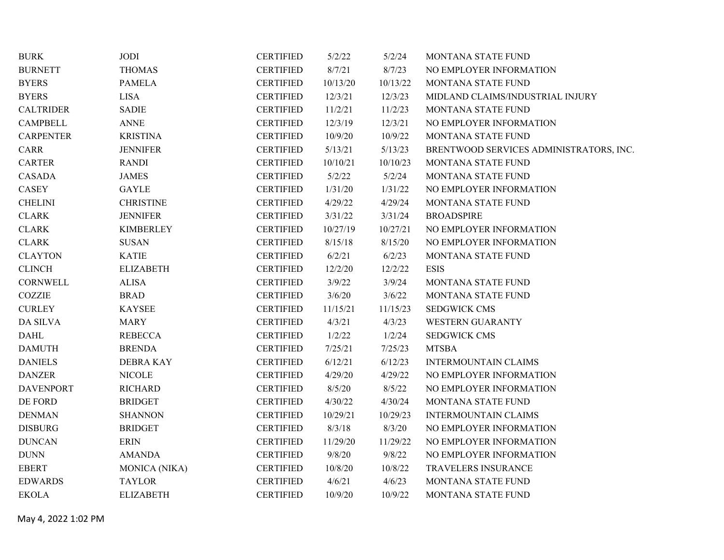| <b>BURK</b>                          | JODI             | <b>CERTIFIED</b> | 5/2/22   | 5/2/24   | MONTANA STATE FUND                      |
|--------------------------------------|------------------|------------------|----------|----------|-----------------------------------------|
| <b>BURNETT</b>                       | <b>THOMAS</b>    | <b>CERTIFIED</b> | 8/7/21   | 8/7/23   | NO EMPLOYER INFORMATION                 |
| <b>BYERS</b>                         | <b>PAMELA</b>    | <b>CERTIFIED</b> | 10/13/20 | 10/13/22 | MONTANA STATE FUND                      |
| <b>BYERS</b>                         | <b>LISA</b>      | <b>CERTIFIED</b> | 12/3/21  | 12/3/23  | MIDLAND CLAIMS/INDUSTRIAL INJURY        |
| <b>CALTRIDER</b>                     | <b>SADIE</b>     | <b>CERTIFIED</b> | 11/2/21  | 11/2/23  | MONTANA STATE FUND                      |
| <b>CAMPBELL</b>                      | <b>ANNE</b>      | <b>CERTIFIED</b> | 12/3/19  | 12/3/21  | NO EMPLOYER INFORMATION                 |
| <b>CARPENTER</b>                     | <b>KRISTINA</b>  | <b>CERTIFIED</b> | 10/9/20  | 10/9/22  | MONTANA STATE FUND                      |
| <b>CARR</b>                          | <b>JENNIFER</b>  | <b>CERTIFIED</b> | 5/13/21  | 5/13/23  | BRENTWOOD SERVICES ADMINISTRATORS, INC. |
| <b>CARTER</b>                        | <b>RANDI</b>     | <b>CERTIFIED</b> | 10/10/21 | 10/10/23 | MONTANA STATE FUND                      |
| <b>CASADA</b>                        | <b>JAMES</b>     | <b>CERTIFIED</b> | 5/2/22   | 5/2/24   | MONTANA STATE FUND                      |
| <b>CASEY</b>                         | <b>GAYLE</b>     | <b>CERTIFIED</b> | 1/31/20  | 1/31/22  | NO EMPLOYER INFORMATION                 |
| <b>CHELINI</b>                       | <b>CHRISTINE</b> | <b>CERTIFIED</b> | 4/29/22  | 4/29/24  | MONTANA STATE FUND                      |
| <b>CLARK</b>                         | <b>JENNIFER</b>  | <b>CERTIFIED</b> | 3/31/22  | 3/31/24  | <b>BROADSPIRE</b>                       |
| <b>CLARK</b>                         | <b>KIMBERLEY</b> | <b>CERTIFIED</b> | 10/27/19 | 10/27/21 | NO EMPLOYER INFORMATION                 |
| $\ensuremath{\mathsf{CLARK}}\xspace$ | <b>SUSAN</b>     | <b>CERTIFIED</b> | 8/15/18  | 8/15/20  | NO EMPLOYER INFORMATION                 |
| <b>CLAYTON</b>                       | <b>KATIE</b>     | <b>CERTIFIED</b> | 6/2/21   | 6/2/23   | MONTANA STATE FUND                      |
| <b>CLINCH</b>                        | <b>ELIZABETH</b> | <b>CERTIFIED</b> | 12/2/20  | 12/2/22  | <b>ESIS</b>                             |
| CORNWELL                             | <b>ALISA</b>     | <b>CERTIFIED</b> | 3/9/22   | 3/9/24   | MONTANA STATE FUND                      |
| COZZIE                               | <b>BRAD</b>      | <b>CERTIFIED</b> | 3/6/20   | 3/6/22   | MONTANA STATE FUND                      |
| <b>CURLEY</b>                        | <b>KAYSEE</b>    | <b>CERTIFIED</b> | 11/15/21 | 11/15/23 | <b>SEDGWICK CMS</b>                     |
| DA SILVA                             | <b>MARY</b>      | <b>CERTIFIED</b> | 4/3/21   | 4/3/23   | <b>WESTERN GUARANTY</b>                 |
| <b>DAHL</b>                          | <b>REBECCA</b>   | <b>CERTIFIED</b> | 1/2/22   | 1/2/24   | <b>SEDGWICK CMS</b>                     |
| <b>DAMUTH</b>                        | <b>BRENDA</b>    | <b>CERTIFIED</b> | 7/25/21  | 7/25/23  | <b>MTSBA</b>                            |
| <b>DANIELS</b>                       | <b>DEBRA KAY</b> | <b>CERTIFIED</b> | 6/12/21  | 6/12/23  | <b>INTERMOUNTAIN CLAIMS</b>             |
| <b>DANZER</b>                        | <b>NICOLE</b>    | <b>CERTIFIED</b> | 4/29/20  | 4/29/22  | NO EMPLOYER INFORMATION                 |
| <b>DAVENPORT</b>                     | <b>RICHARD</b>   | <b>CERTIFIED</b> | 8/5/20   | 8/5/22   | NO EMPLOYER INFORMATION                 |
| DE FORD                              | <b>BRIDGET</b>   | <b>CERTIFIED</b> | 4/30/22  | 4/30/24  | MONTANA STATE FUND                      |
| <b>DENMAN</b>                        | <b>SHANNON</b>   | <b>CERTIFIED</b> | 10/29/21 | 10/29/23 | <b>INTERMOUNTAIN CLAIMS</b>             |
| <b>DISBURG</b>                       | <b>BRIDGET</b>   | <b>CERTIFIED</b> | 8/3/18   | 8/3/20   | NO EMPLOYER INFORMATION                 |
| <b>DUNCAN</b>                        | <b>ERIN</b>      | <b>CERTIFIED</b> | 11/29/20 | 11/29/22 | NO EMPLOYER INFORMATION                 |
| <b>DUNN</b>                          | <b>AMANDA</b>    | <b>CERTIFIED</b> | 9/8/20   | 9/8/22   | NO EMPLOYER INFORMATION                 |
| <b>EBERT</b>                         | MONICA (NIKA)    | <b>CERTIFIED</b> | 10/8/20  | 10/8/22  | TRAVELERS INSURANCE                     |
| <b>EDWARDS</b>                       | <b>TAYLOR</b>    | <b>CERTIFIED</b> | 4/6/21   | 4/6/23   | MONTANA STATE FUND                      |
| <b>EKOLA</b>                         | <b>ELIZABETH</b> | <b>CERTIFIED</b> | 10/9/20  | 10/9/22  | MONTANA STATE FUND                      |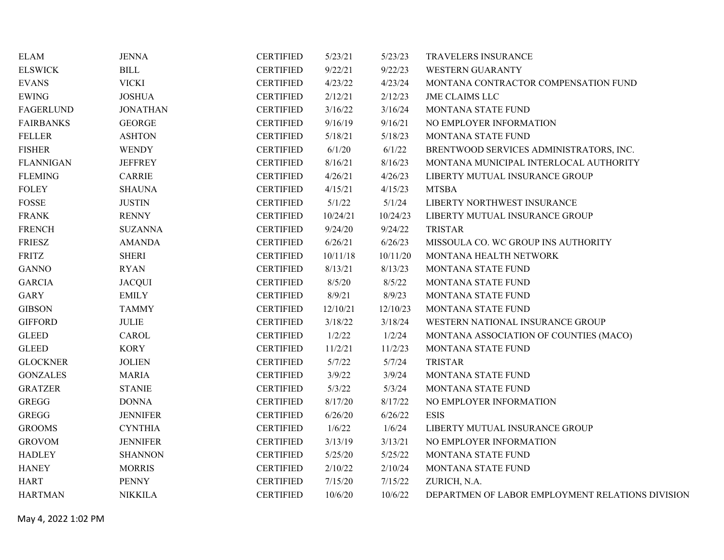| <b>ELAM</b>      | <b>JENNA</b>    | <b>CERTIFIED</b> | 5/23/21  | 5/23/23  | TRAVELERS INSURANCE                              |
|------------------|-----------------|------------------|----------|----------|--------------------------------------------------|
| <b>ELSWICK</b>   | <b>BILL</b>     | <b>CERTIFIED</b> | 9/22/21  | 9/22/23  | <b>WESTERN GUARANTY</b>                          |
| <b>EVANS</b>     | <b>VICKI</b>    | <b>CERTIFIED</b> | 4/23/22  | 4/23/24  | MONTANA CONTRACTOR COMPENSATION FUND             |
| <b>EWING</b>     | <b>JOSHUA</b>   | <b>CERTIFIED</b> | 2/12/21  | 2/12/23  | <b>JME CLAIMS LLC</b>                            |
| <b>FAGERLUND</b> | <b>JONATHAN</b> | <b>CERTIFIED</b> | 3/16/22  | 3/16/24  | MONTANA STATE FUND                               |
| <b>FAIRBANKS</b> | <b>GEORGE</b>   | <b>CERTIFIED</b> | 9/16/19  | 9/16/21  | NO EMPLOYER INFORMATION                          |
| <b>FELLER</b>    | <b>ASHTON</b>   | <b>CERTIFIED</b> | 5/18/21  | 5/18/23  | MONTANA STATE FUND                               |
| <b>FISHER</b>    | <b>WENDY</b>    | <b>CERTIFIED</b> | 6/1/20   | 6/1/22   | BRENTWOOD SERVICES ADMINISTRATORS, INC.          |
| <b>FLANNIGAN</b> | <b>JEFFREY</b>  | <b>CERTIFIED</b> | 8/16/21  | 8/16/23  | MONTANA MUNICIPAL INTERLOCAL AUTHORITY           |
| <b>FLEMING</b>   | <b>CARRIE</b>   | <b>CERTIFIED</b> | 4/26/21  | 4/26/23  | LIBERTY MUTUAL INSURANCE GROUP                   |
| <b>FOLEY</b>     | <b>SHAUNA</b>   | <b>CERTIFIED</b> | 4/15/21  | 4/15/23  | <b>MTSBA</b>                                     |
| ${\tt FOSSE}$    | <b>JUSTIN</b>   | <b>CERTIFIED</b> | 5/1/22   | 5/1/24   | LIBERTY NORTHWEST INSURANCE                      |
| <b>FRANK</b>     | <b>RENNY</b>    | <b>CERTIFIED</b> | 10/24/21 | 10/24/23 | LIBERTY MUTUAL INSURANCE GROUP                   |
| <b>FRENCH</b>    | <b>SUZANNA</b>  | <b>CERTIFIED</b> | 9/24/20  | 9/24/22  | <b>TRISTAR</b>                                   |
| <b>FRIESZ</b>    | <b>AMANDA</b>   | <b>CERTIFIED</b> | 6/26/21  | 6/26/23  | MISSOULA CO. WC GROUP INS AUTHORITY              |
| <b>FRITZ</b>     | <b>SHERI</b>    | <b>CERTIFIED</b> | 10/11/18 | 10/11/20 | MONTANA HEALTH NETWORK                           |
| <b>GANNO</b>     | <b>RYAN</b>     | <b>CERTIFIED</b> | 8/13/21  | 8/13/23  | MONTANA STATE FUND                               |
| <b>GARCIA</b>    | <b>JACQUI</b>   | <b>CERTIFIED</b> | 8/5/20   | 8/5/22   | MONTANA STATE FUND                               |
| <b>GARY</b>      | <b>EMILY</b>    | <b>CERTIFIED</b> | 8/9/21   | 8/9/23   | MONTANA STATE FUND                               |
| <b>GIBSON</b>    | <b>TAMMY</b>    | <b>CERTIFIED</b> | 12/10/21 | 12/10/23 | MONTANA STATE FUND                               |
| <b>GIFFORD</b>   | <b>JULIE</b>    | <b>CERTIFIED</b> | 3/18/22  | 3/18/24  | WESTERN NATIONAL INSURANCE GROUP                 |
| <b>GLEED</b>     | <b>CAROL</b>    | <b>CERTIFIED</b> | 1/2/22   | 1/2/24   | MONTANA ASSOCIATION OF COUNTIES (MACO)           |
| <b>GLEED</b>     | <b>KORY</b>     | <b>CERTIFIED</b> | 11/2/21  | 11/2/23  | MONTANA STATE FUND                               |
| <b>GLOCKNER</b>  | <b>JOLIEN</b>   | <b>CERTIFIED</b> | 5/7/22   | 5/7/24   | <b>TRISTAR</b>                                   |
| <b>GONZALES</b>  | <b>MARIA</b>    | <b>CERTIFIED</b> | 3/9/22   | 3/9/24   | MONTANA STATE FUND                               |
| <b>GRATZER</b>   | <b>STANIE</b>   | <b>CERTIFIED</b> | 5/3/22   | 5/3/24   | MONTANA STATE FUND                               |
| <b>GREGG</b>     | <b>DONNA</b>    | <b>CERTIFIED</b> | 8/17/20  | 8/17/22  | NO EMPLOYER INFORMATION                          |
| GREGG            | <b>JENNIFER</b> | <b>CERTIFIED</b> | 6/26/20  | 6/26/22  | <b>ESIS</b>                                      |
| <b>GROOMS</b>    | <b>CYNTHIA</b>  | <b>CERTIFIED</b> | 1/6/22   | 1/6/24   | LIBERTY MUTUAL INSURANCE GROUP                   |
| <b>GROVOM</b>    | <b>JENNIFER</b> | <b>CERTIFIED</b> | 3/13/19  | 3/13/21  | NO EMPLOYER INFORMATION                          |
| <b>HADLEY</b>    | <b>SHANNON</b>  | <b>CERTIFIED</b> | 5/25/20  | 5/25/22  | MONTANA STATE FUND                               |
| <b>HANEY</b>     | <b>MORRIS</b>   | <b>CERTIFIED</b> | 2/10/22  | 2/10/24  | MONTANA STATE FUND                               |
| <b>HART</b>      | <b>PENNY</b>    | <b>CERTIFIED</b> | 7/15/20  | 7/15/22  | ZURICH, N.A.                                     |
| <b>HARTMAN</b>   | <b>NIKKILA</b>  | <b>CERTIFIED</b> | 10/6/20  | 10/6/22  | DEPARTMEN OF LABOR EMPLOYMENT RELATIONS DIVISION |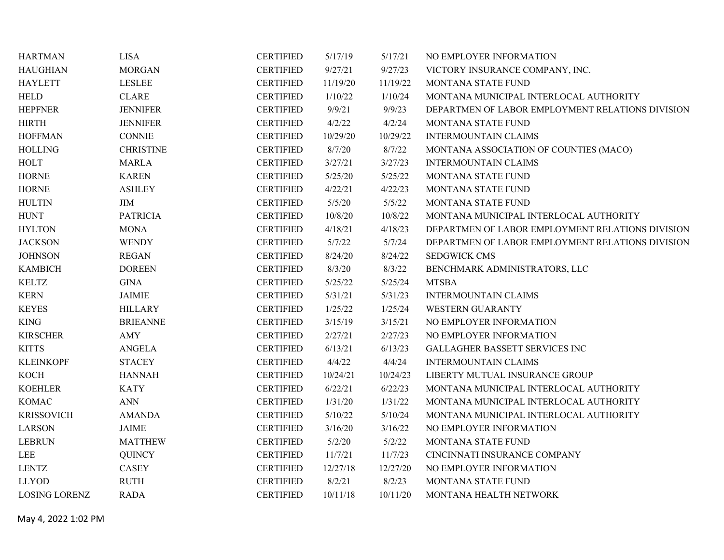| <b>HARTMAN</b>       | <b>LISA</b>      | <b>CERTIFIED</b> | 5/17/19  | 5/17/21  | NO EMPLOYER INFORMATION                          |
|----------------------|------------------|------------------|----------|----------|--------------------------------------------------|
| <b>HAUGHIAN</b>      | <b>MORGAN</b>    | <b>CERTIFIED</b> | 9/27/21  | 9/27/23  | VICTORY INSURANCE COMPANY, INC.                  |
| <b>HAYLETT</b>       | <b>LESLEE</b>    | <b>CERTIFIED</b> | 11/19/20 | 11/19/22 | MONTANA STATE FUND                               |
| <b>HELD</b>          | <b>CLARE</b>     | <b>CERTIFIED</b> | 1/10/22  | 1/10/24  | MONTANA MUNICIPAL INTERLOCAL AUTHORITY           |
| <b>HEPFNER</b>       | <b>JENNIFER</b>  | <b>CERTIFIED</b> | 9/9/21   | 9/9/23   | DEPARTMEN OF LABOR EMPLOYMENT RELATIONS DIVISION |
| <b>HIRTH</b>         | <b>JENNIFER</b>  | <b>CERTIFIED</b> | 4/2/22   | 4/2/24   | MONTANA STATE FUND                               |
| <b>HOFFMAN</b>       | <b>CONNIE</b>    | <b>CERTIFIED</b> | 10/29/20 | 10/29/22 | <b>INTERMOUNTAIN CLAIMS</b>                      |
| <b>HOLLING</b>       | <b>CHRISTINE</b> | <b>CERTIFIED</b> | 8/7/20   | 8/7/22   | MONTANA ASSOCIATION OF COUNTIES (MACO)           |
| <b>HOLT</b>          | <b>MARLA</b>     | <b>CERTIFIED</b> | 3/27/21  | 3/27/23  | <b>INTERMOUNTAIN CLAIMS</b>                      |
| <b>HORNE</b>         | <b>KAREN</b>     | <b>CERTIFIED</b> | 5/25/20  | 5/25/22  | MONTANA STATE FUND                               |
| <b>HORNE</b>         | <b>ASHLEY</b>    | <b>CERTIFIED</b> | 4/22/21  | 4/22/23  | MONTANA STATE FUND                               |
| <b>HULTIN</b>        | JIM              | <b>CERTIFIED</b> | 5/5/20   | 5/5/22   | MONTANA STATE FUND                               |
| <b>HUNT</b>          | <b>PATRICIA</b>  | <b>CERTIFIED</b> | 10/8/20  | 10/8/22  | MONTANA MUNICIPAL INTERLOCAL AUTHORITY           |
| <b>HYLTON</b>        | <b>MONA</b>      | <b>CERTIFIED</b> | 4/18/21  | 4/18/23  | DEPARTMEN OF LABOR EMPLOYMENT RELATIONS DIVISION |
| <b>JACKSON</b>       | <b>WENDY</b>     | <b>CERTIFIED</b> | 5/7/22   | 5/7/24   | DEPARTMEN OF LABOR EMPLOYMENT RELATIONS DIVISION |
| <b>JOHNSON</b>       | <b>REGAN</b>     | <b>CERTIFIED</b> | 8/24/20  | 8/24/22  | <b>SEDGWICK CMS</b>                              |
| <b>KAMBICH</b>       | <b>DOREEN</b>    | <b>CERTIFIED</b> | 8/3/20   | 8/3/22   | BENCHMARK ADMINISTRATORS, LLC                    |
| <b>KELTZ</b>         | <b>GINA</b>      | <b>CERTIFIED</b> | 5/25/22  | 5/25/24  | <b>MTSBA</b>                                     |
| <b>KERN</b>          | <b>JAIMIE</b>    | <b>CERTIFIED</b> | 5/31/21  | 5/31/23  | <b>INTERMOUNTAIN CLAIMS</b>                      |
| <b>KEYES</b>         | <b>HILLARY</b>   | <b>CERTIFIED</b> | 1/25/22  | 1/25/24  | <b>WESTERN GUARANTY</b>                          |
| <b>KING</b>          | <b>BRIEANNE</b>  | <b>CERTIFIED</b> | 3/15/19  | 3/15/21  | NO EMPLOYER INFORMATION                          |
| <b>KIRSCHER</b>      | AMY              | <b>CERTIFIED</b> | 2/27/21  | 2/27/23  | NO EMPLOYER INFORMATION                          |
| <b>KITTS</b>         | <b>ANGELA</b>    | <b>CERTIFIED</b> | 6/13/21  | 6/13/23  | GALLAGHER BASSETT SERVICES INC                   |
| <b>KLEINKOPF</b>     | <b>STACEY</b>    | <b>CERTIFIED</b> | 4/4/22   | 4/4/24   | <b>INTERMOUNTAIN CLAIMS</b>                      |
| <b>KOCH</b>          | <b>HANNAH</b>    | <b>CERTIFIED</b> | 10/24/21 | 10/24/23 | LIBERTY MUTUAL INSURANCE GROUP                   |
| <b>KOEHLER</b>       | <b>KATY</b>      | <b>CERTIFIED</b> | 6/22/21  | 6/22/23  | MONTANA MUNICIPAL INTERLOCAL AUTHORITY           |
| <b>KOMAC</b>         | <b>ANN</b>       | <b>CERTIFIED</b> | 1/31/20  | 1/31/22  | MONTANA MUNICIPAL INTERLOCAL AUTHORITY           |
| <b>KRISSOVICH</b>    | <b>AMANDA</b>    | <b>CERTIFIED</b> | 5/10/22  | 5/10/24  | MONTANA MUNICIPAL INTERLOCAL AUTHORITY           |
| <b>LARSON</b>        | <b>JAIME</b>     | <b>CERTIFIED</b> | 3/16/20  | 3/16/22  | NO EMPLOYER INFORMATION                          |
| <b>LEBRUN</b>        | <b>MATTHEW</b>   | <b>CERTIFIED</b> | 5/2/20   | 5/2/22   | MONTANA STATE FUND                               |
| LEE                  | <b>QUINCY</b>    | <b>CERTIFIED</b> | 11/7/21  | 11/7/23  | CINCINNATI INSURANCE COMPANY                     |
| <b>LENTZ</b>         | <b>CASEY</b>     | <b>CERTIFIED</b> | 12/27/18 | 12/27/20 | NO EMPLOYER INFORMATION                          |
| <b>LLYOD</b>         | <b>RUTH</b>      | <b>CERTIFIED</b> | 8/2/21   | 8/2/23   | MONTANA STATE FUND                               |
| <b>LOSING LORENZ</b> | <b>RADA</b>      | <b>CERTIFIED</b> | 10/11/18 | 10/11/20 | MONTANA HEALTH NETWORK                           |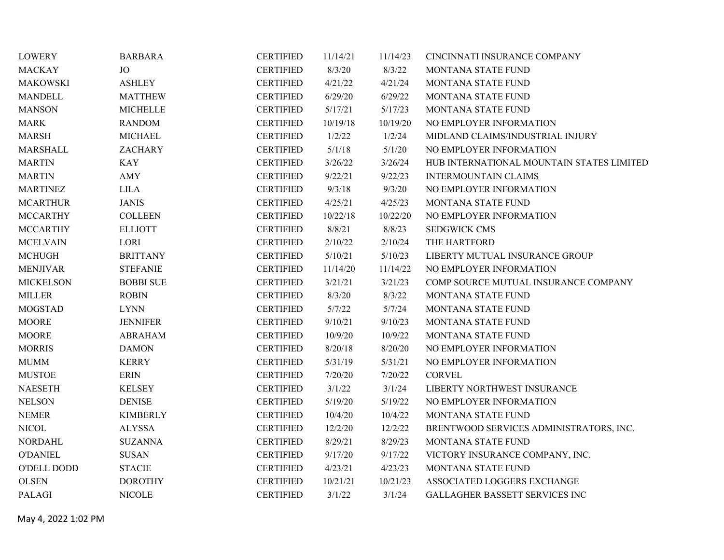| <b>LOWERY</b>      | <b>BARBARA</b>   | <b>CERTIFIED</b> | 11/14/21 | 11/14/23 | CINCINNATI INSURANCE COMPANY              |
|--------------------|------------------|------------------|----------|----------|-------------------------------------------|
| <b>MACKAY</b>      | <b>JO</b>        | <b>CERTIFIED</b> | 8/3/20   | 8/3/22   | MONTANA STATE FUND                        |
| <b>MAKOWSKI</b>    | <b>ASHLEY</b>    | <b>CERTIFIED</b> | 4/21/22  | 4/21/24  | MONTANA STATE FUND                        |
| <b>MANDELL</b>     | <b>MATTHEW</b>   | <b>CERTIFIED</b> | 6/29/20  | 6/29/22  | MONTANA STATE FUND                        |
| <b>MANSON</b>      | <b>MICHELLE</b>  | <b>CERTIFIED</b> | 5/17/21  | 5/17/23  | MONTANA STATE FUND                        |
| <b>MARK</b>        | <b>RANDOM</b>    | <b>CERTIFIED</b> | 10/19/18 | 10/19/20 | NO EMPLOYER INFORMATION                   |
| <b>MARSH</b>       | <b>MICHAEL</b>   | <b>CERTIFIED</b> | 1/2/22   | 1/2/24   | MIDLAND CLAIMS/INDUSTRIAL INJURY          |
| MARSHALL           | <b>ZACHARY</b>   | <b>CERTIFIED</b> | 5/1/18   | 5/1/20   | NO EMPLOYER INFORMATION                   |
| <b>MARTIN</b>      | <b>KAY</b>       | <b>CERTIFIED</b> | 3/26/22  | 3/26/24  | HUB INTERNATIONAL MOUNTAIN STATES LIMITED |
| <b>MARTIN</b>      | AMY              | <b>CERTIFIED</b> | 9/22/21  | 9/22/23  | <b>INTERMOUNTAIN CLAIMS</b>               |
| <b>MARTINEZ</b>    | <b>LILA</b>      | <b>CERTIFIED</b> | 9/3/18   | 9/3/20   | NO EMPLOYER INFORMATION                   |
| <b>MCARTHUR</b>    | <b>JANIS</b>     | <b>CERTIFIED</b> | 4/25/21  | 4/25/23  | MONTANA STATE FUND                        |
| <b>MCCARTHY</b>    | <b>COLLEEN</b>   | <b>CERTIFIED</b> | 10/22/18 | 10/22/20 | NO EMPLOYER INFORMATION                   |
| <b>MCCARTHY</b>    | <b>ELLIOTT</b>   | <b>CERTIFIED</b> | 8/8/21   | 8/8/23   | <b>SEDGWICK CMS</b>                       |
| <b>MCELVAIN</b>    | LORI             | <b>CERTIFIED</b> | 2/10/22  | 2/10/24  | THE HARTFORD                              |
| <b>MCHUGH</b>      | <b>BRITTANY</b>  | <b>CERTIFIED</b> | 5/10/21  | 5/10/23  | LIBERTY MUTUAL INSURANCE GROUP            |
| <b>MENJIVAR</b>    | <b>STEFANIE</b>  | <b>CERTIFIED</b> | 11/14/20 | 11/14/22 | NO EMPLOYER INFORMATION                   |
| <b>MICKELSON</b>   | <b>BOBBI SUE</b> | <b>CERTIFIED</b> | 3/21/21  | 3/21/23  | COMP SOURCE MUTUAL INSURANCE COMPANY      |
| <b>MILLER</b>      | <b>ROBIN</b>     | <b>CERTIFIED</b> | 8/3/20   | 8/3/22   | MONTANA STATE FUND                        |
| <b>MOGSTAD</b>     | <b>LYNN</b>      | <b>CERTIFIED</b> | 5/7/22   | 5/7/24   | MONTANA STATE FUND                        |
| <b>MOORE</b>       | <b>JENNIFER</b>  | <b>CERTIFIED</b> | 9/10/21  | 9/10/23  | MONTANA STATE FUND                        |
| <b>MOORE</b>       | <b>ABRAHAM</b>   | <b>CERTIFIED</b> | 10/9/20  | 10/9/22  | MONTANA STATE FUND                        |
| <b>MORRIS</b>      | <b>DAMON</b>     | <b>CERTIFIED</b> | 8/20/18  | 8/20/20  | NO EMPLOYER INFORMATION                   |
| <b>MUMM</b>        | <b>KERRY</b>     | <b>CERTIFIED</b> | 5/31/19  | 5/31/21  | NO EMPLOYER INFORMATION                   |
| <b>MUSTOE</b>      | <b>ERIN</b>      | <b>CERTIFIED</b> | 7/20/20  | 7/20/22  | <b>CORVEL</b>                             |
| <b>NAESETH</b>     | <b>KELSEY</b>    | <b>CERTIFIED</b> | 3/1/22   | 3/1/24   | LIBERTY NORTHWEST INSURANCE               |
| <b>NELSON</b>      | <b>DENISE</b>    | <b>CERTIFIED</b> | 5/19/20  | 5/19/22  | NO EMPLOYER INFORMATION                   |
| <b>NEMER</b>       | <b>KIMBERLY</b>  | <b>CERTIFIED</b> | 10/4/20  | 10/4/22  | MONTANA STATE FUND                        |
| <b>NICOL</b>       | <b>ALYSSA</b>    | <b>CERTIFIED</b> | 12/2/20  | 12/2/22  | BRENTWOOD SERVICES ADMINISTRATORS, INC.   |
| <b>NORDAHL</b>     | <b>SUZANNA</b>   | <b>CERTIFIED</b> | 8/29/21  | 8/29/23  | MONTANA STATE FUND                        |
| <b>O'DANIEL</b>    | <b>SUSAN</b>     | <b>CERTIFIED</b> | 9/17/20  | 9/17/22  | VICTORY INSURANCE COMPANY, INC.           |
| <b>O'DELL DODD</b> | <b>STACIE</b>    | <b>CERTIFIED</b> | 4/23/21  | 4/23/23  | MONTANA STATE FUND                        |
| <b>OLSEN</b>       | <b>DOROTHY</b>   | <b>CERTIFIED</b> | 10/21/21 | 10/21/23 | ASSOCIATED LOGGERS EXCHANGE               |
| PALAGI             | <b>NICOLE</b>    | <b>CERTIFIED</b> | 3/1/22   | 3/1/24   | <b>GALLAGHER BASSETT SERVICES INC</b>     |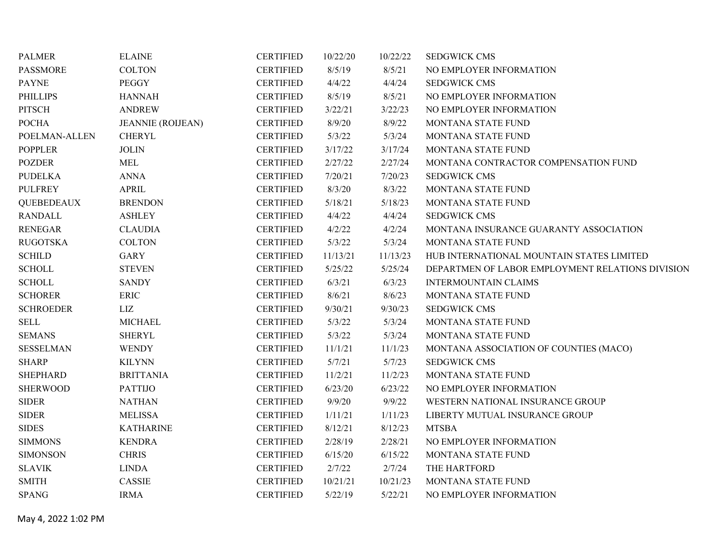| <b>PALMER</b>           | <b>ELAINE</b>            | <b>CERTIFIED</b> | 10/22/20 | 10/22/22 | <b>SEDGWICK CMS</b>                              |
|-------------------------|--------------------------|------------------|----------|----------|--------------------------------------------------|
| <b>PASSMORE</b>         | <b>COLTON</b>            | <b>CERTIFIED</b> | 8/5/19   | 8/5/21   | NO EMPLOYER INFORMATION                          |
| <b>PAYNE</b>            | <b>PEGGY</b>             | <b>CERTIFIED</b> | 4/4/22   | 4/4/24   | <b>SEDGWICK CMS</b>                              |
| <b>PHILLIPS</b>         | <b>HANNAH</b>            | <b>CERTIFIED</b> | 8/5/19   | 8/5/21   | NO EMPLOYER INFORMATION                          |
| PITSCH                  | <b>ANDREW</b>            | <b>CERTIFIED</b> | 3/22/21  | 3/22/23  | NO EMPLOYER INFORMATION                          |
| <b>POCHA</b>            | <b>JEANNIE (ROIJEAN)</b> | <b>CERTIFIED</b> | 8/9/20   | 8/9/22   | MONTANA STATE FUND                               |
| POELMAN-ALLEN           | <b>CHERYL</b>            | <b>CERTIFIED</b> | 5/3/22   | 5/3/24   | MONTANA STATE FUND                               |
| <b>POPPLER</b>          | <b>JOLIN</b>             | <b>CERTIFIED</b> | 3/17/22  | 3/17/24  | MONTANA STATE FUND                               |
| <b>POZDER</b>           | <b>MEL</b>               | <b>CERTIFIED</b> | 2/27/22  | 2/27/24  | MONTANA CONTRACTOR COMPENSATION FUND             |
| <b>PUDELKA</b>          | <b>ANNA</b>              | <b>CERTIFIED</b> | 7/20/21  | 7/20/23  | <b>SEDGWICK CMS</b>                              |
| <b>PULFREY</b>          | <b>APRIL</b>             | <b>CERTIFIED</b> | 8/3/20   | 8/3/22   | MONTANA STATE FUND                               |
| <b>QUEBEDEAUX</b>       | <b>BRENDON</b>           | <b>CERTIFIED</b> | 5/18/21  | 5/18/23  | MONTANA STATE FUND                               |
| <b>RANDALL</b>          | <b>ASHLEY</b>            | <b>CERTIFIED</b> | 4/4/22   | 4/4/24   | <b>SEDGWICK CMS</b>                              |
| <b>RENEGAR</b>          | <b>CLAUDIA</b>           | <b>CERTIFIED</b> | 4/2/22   | 4/2/24   | MONTANA INSURANCE GUARANTY ASSOCIATION           |
| <b>RUGOTSKA</b>         | <b>COLTON</b>            | <b>CERTIFIED</b> | 5/3/22   | 5/3/24   | MONTANA STATE FUND                               |
| $\operatorname{SCHILD}$ | <b>GARY</b>              | <b>CERTIFIED</b> | 11/13/21 | 11/13/23 | HUB INTERNATIONAL MOUNTAIN STATES LIMITED        |
| <b>SCHOLL</b>           | <b>STEVEN</b>            | <b>CERTIFIED</b> | 5/25/22  | 5/25/24  | DEPARTMEN OF LABOR EMPLOYMENT RELATIONS DIVISION |
| <b>SCHOLL</b>           | <b>SANDY</b>             | <b>CERTIFIED</b> | 6/3/21   | 6/3/23   | <b>INTERMOUNTAIN CLAIMS</b>                      |
| <b>SCHORER</b>          | <b>ERIC</b>              | <b>CERTIFIED</b> | 8/6/21   | 8/6/23   | MONTANA STATE FUND                               |
| <b>SCHROEDER</b>        | LIZ                      | <b>CERTIFIED</b> | 9/30/21  | 9/30/23  | <b>SEDGWICK CMS</b>                              |
| <b>SELL</b>             | <b>MICHAEL</b>           | <b>CERTIFIED</b> | 5/3/22   | 5/3/24   | MONTANA STATE FUND                               |
| <b>SEMANS</b>           | <b>SHERYL</b>            | <b>CERTIFIED</b> | 5/3/22   | 5/3/24   | MONTANA STATE FUND                               |
| <b>SESSELMAN</b>        | <b>WENDY</b>             | <b>CERTIFIED</b> | 11/1/21  | 11/1/23  | MONTANA ASSOCIATION OF COUNTIES (MACO)           |
| <b>SHARP</b>            | <b>KILYNN</b>            | <b>CERTIFIED</b> | 5/7/21   | 5/7/23   | <b>SEDGWICK CMS</b>                              |
| <b>SHEPHARD</b>         | <b>BRITTANIA</b>         | <b>CERTIFIED</b> | 11/2/21  | 11/2/23  | MONTANA STATE FUND                               |
| <b>SHERWOOD</b>         | <b>PATTIJO</b>           | <b>CERTIFIED</b> | 6/23/20  | 6/23/22  | NO EMPLOYER INFORMATION                          |
| <b>SIDER</b>            | <b>NATHAN</b>            | <b>CERTIFIED</b> | 9/9/20   | 9/9/22   | WESTERN NATIONAL INSURANCE GROUP                 |
| ${\large\bf SIDER}$     | <b>MELISSA</b>           | <b>CERTIFIED</b> | 1/11/21  | 1/11/23  | LIBERTY MUTUAL INSURANCE GROUP                   |
| <b>SIDES</b>            | <b>KATHARINE</b>         | <b>CERTIFIED</b> | 8/12/21  | 8/12/23  | <b>MTSBA</b>                                     |
| <b>SIMMONS</b>          | <b>KENDRA</b>            | <b>CERTIFIED</b> | 2/28/19  | 2/28/21  | NO EMPLOYER INFORMATION                          |
| <b>SIMONSON</b>         | <b>CHRIS</b>             | <b>CERTIFIED</b> | 6/15/20  | 6/15/22  | MONTANA STATE FUND                               |
| <b>SLAVIK</b>           | <b>LINDA</b>             | <b>CERTIFIED</b> | 2/7/22   | 2/7/24   | THE HARTFORD                                     |
| <b>SMITH</b>            | <b>CASSIE</b>            | <b>CERTIFIED</b> | 10/21/21 | 10/21/23 | MONTANA STATE FUND                               |
| <b>SPANG</b>            | <b>IRMA</b>              | <b>CERTIFIED</b> | 5/22/19  | 5/22/21  | NO EMPLOYER INFORMATION                          |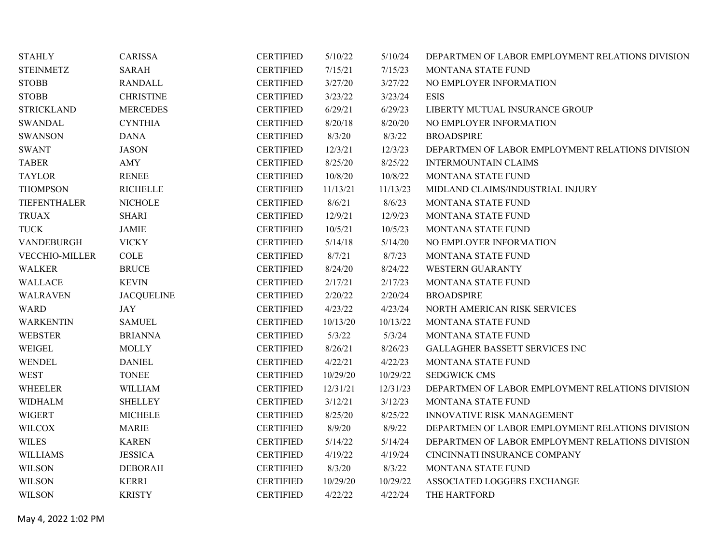| <b>STAHLY</b>         | <b>CARISSA</b>    | <b>CERTIFIED</b> | 5/10/22  | 5/10/24  | DEPARTMEN OF LABOR EMPLOYMENT RELATIONS DIVISION |
|-----------------------|-------------------|------------------|----------|----------|--------------------------------------------------|
| <b>STEINMETZ</b>      | <b>SARAH</b>      | <b>CERTIFIED</b> | 7/15/21  | 7/15/23  | MONTANA STATE FUND                               |
| <b>STOBB</b>          | <b>RANDALL</b>    | <b>CERTIFIED</b> | 3/27/20  | 3/27/22  | NO EMPLOYER INFORMATION                          |
| <b>STOBB</b>          | <b>CHRISTINE</b>  | <b>CERTIFIED</b> | 3/23/22  | 3/23/24  | <b>ESIS</b>                                      |
| <b>STRICKLAND</b>     | <b>MERCEDES</b>   | <b>CERTIFIED</b> | 6/29/21  | 6/29/23  | LIBERTY MUTUAL INSURANCE GROUP                   |
| <b>SWANDAL</b>        | <b>CYNTHIA</b>    | <b>CERTIFIED</b> | 8/20/18  | 8/20/20  | NO EMPLOYER INFORMATION                          |
| <b>SWANSON</b>        | <b>DANA</b>       | <b>CERTIFIED</b> | 8/3/20   | 8/3/22   | <b>BROADSPIRE</b>                                |
| <b>SWANT</b>          | <b>JASON</b>      | <b>CERTIFIED</b> | 12/3/21  | 12/3/23  | DEPARTMEN OF LABOR EMPLOYMENT RELATIONS DIVISION |
| <b>TABER</b>          | AMY               | <b>CERTIFIED</b> | 8/25/20  | 8/25/22  | <b>INTERMOUNTAIN CLAIMS</b>                      |
| <b>TAYLOR</b>         | <b>RENEE</b>      | <b>CERTIFIED</b> | 10/8/20  | 10/8/22  | MONTANA STATE FUND                               |
| <b>THOMPSON</b>       | <b>RICHELLE</b>   | <b>CERTIFIED</b> | 11/13/21 | 11/13/23 | MIDLAND CLAIMS/INDUSTRIAL INJURY                 |
| TIEFENTHALER          | <b>NICHOLE</b>    | <b>CERTIFIED</b> | 8/6/21   | 8/6/23   | MONTANA STATE FUND                               |
| <b>TRUAX</b>          | <b>SHARI</b>      | <b>CERTIFIED</b> | 12/9/21  | 12/9/23  | MONTANA STATE FUND                               |
| <b>TUCK</b>           | <b>JAMIE</b>      | <b>CERTIFIED</b> | 10/5/21  | 10/5/23  | MONTANA STATE FUND                               |
| VANDEBURGH            | <b>VICKY</b>      | <b>CERTIFIED</b> | 5/14/18  | 5/14/20  | NO EMPLOYER INFORMATION                          |
| <b>VECCHIO-MILLER</b> | COLE              | <b>CERTIFIED</b> | 8/7/21   | 8/7/23   | MONTANA STATE FUND                               |
| <b>WALKER</b>         | <b>BRUCE</b>      | <b>CERTIFIED</b> | 8/24/20  | 8/24/22  | <b>WESTERN GUARANTY</b>                          |
| <b>WALLACE</b>        | <b>KEVIN</b>      | <b>CERTIFIED</b> | 2/17/21  | 2/17/23  | MONTANA STATE FUND                               |
| <b>WALRAVEN</b>       | <b>JACQUELINE</b> | <b>CERTIFIED</b> | 2/20/22  | 2/20/24  | <b>BROADSPIRE</b>                                |
| <b>WARD</b>           | <b>JAY</b>        | <b>CERTIFIED</b> | 4/23/22  | 4/23/24  | NORTH AMERICAN RISK SERVICES                     |
| <b>WARKENTIN</b>      | <b>SAMUEL</b>     | <b>CERTIFIED</b> | 10/13/20 | 10/13/22 | MONTANA STATE FUND                               |
| <b>WEBSTER</b>        | <b>BRIANNA</b>    | <b>CERTIFIED</b> | 5/3/22   | 5/3/24   | MONTANA STATE FUND                               |
| WEIGEL                | <b>MOLLY</b>      | <b>CERTIFIED</b> | 8/26/21  | 8/26/23  | GALLAGHER BASSETT SERVICES INC                   |
| WENDEL                | <b>DANIEL</b>     | <b>CERTIFIED</b> | 4/22/21  | 4/22/23  | MONTANA STATE FUND                               |
| <b>WEST</b>           | <b>TONEE</b>      | <b>CERTIFIED</b> | 10/29/20 | 10/29/22 | <b>SEDGWICK CMS</b>                              |
| WHEELER               | <b>WILLIAM</b>    | <b>CERTIFIED</b> | 12/31/21 | 12/31/23 | DEPARTMEN OF LABOR EMPLOYMENT RELATIONS DIVISION |
| <b>WIDHALM</b>        | <b>SHELLEY</b>    | <b>CERTIFIED</b> | 3/12/21  | 3/12/23  | MONTANA STATE FUND                               |
| <b>WIGERT</b>         | <b>MICHELE</b>    | <b>CERTIFIED</b> | 8/25/20  | 8/25/22  | INNOVATIVE RISK MANAGEMENT                       |
| <b>WILCOX</b>         | <b>MARIE</b>      | <b>CERTIFIED</b> | 8/9/20   | 8/9/22   | DEPARTMEN OF LABOR EMPLOYMENT RELATIONS DIVISION |
| <b>WILES</b>          | <b>KAREN</b>      | <b>CERTIFIED</b> | 5/14/22  | 5/14/24  | DEPARTMEN OF LABOR EMPLOYMENT RELATIONS DIVISION |
| <b>WILLIAMS</b>       | <b>JESSICA</b>    | <b>CERTIFIED</b> | 4/19/22  | 4/19/24  | CINCINNATI INSURANCE COMPANY                     |
| <b>WILSON</b>         | <b>DEBORAH</b>    | <b>CERTIFIED</b> | 8/3/20   | 8/3/22   | MONTANA STATE FUND                               |
| <b>WILSON</b>         | <b>KERRI</b>      | <b>CERTIFIED</b> | 10/29/20 | 10/29/22 | ASSOCIATED LOGGERS EXCHANGE                      |
| <b>WILSON</b>         | <b>KRISTY</b>     | <b>CERTIFIED</b> | 4/22/22  | 4/22/24  | THE HARTFORD                                     |